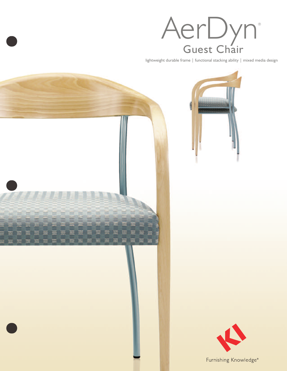

lightweight durable frame | functional stacking ability | mixed media design







Furnishing Knowledge<sup>®</sup>